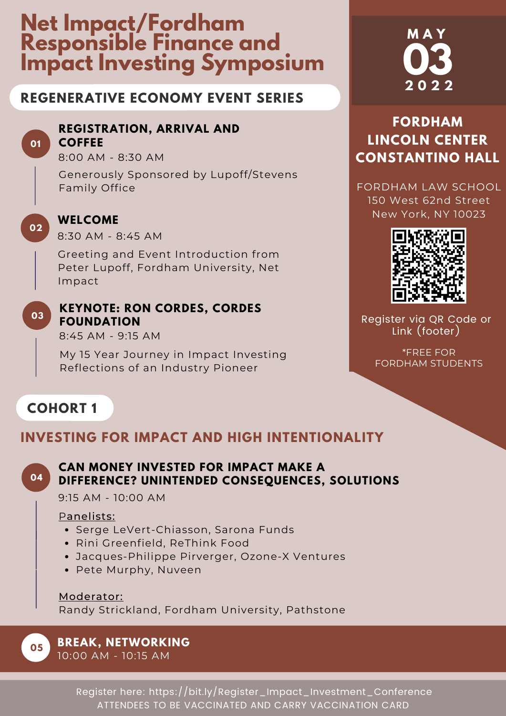# **Net Impact/Fordham Responsible Finance and Impact Investing Symposium**

## **REGENERATIVE ECONOMY EVENT SERIES**

### **REGISTRATION, ARRIVAL AND COFFEE**

8:00 AM - 8:30 AM

Generously Sponsored by Lupoff/Stevens Family Office



**01**

### **WELCOME**

8:30 AM - 8:45 AM

Greeting and Event Introduction from Peter Lupoff, Fordham University, Net Impact

**03**

### **KEYNOTE: RON CORDES, CORDES FOUNDATION**

8:45 AM - 9:15 AM

My 15 Year Journey in Impact Investing Reflections of an Industry Pioneer

# **M A Y 03 2 0 2 2**

# **FORDHAM LINCOLN CENTER CONSTANTINO HALL**

FORDHAM LAW SCHOOL 150 West 62nd Street New York, NY 10023



Register via QR Code or Link (footer)

\*FREE FOR FORDHAM STUDENTS

# **COHORT 1**

# **INVESTING FOR IMPACT AND HIGH INTENTIONALITY**



**05**

### **CAN MONEY INVESTED FOR IMPACT MAKE A DIFFERENCE? UNINTENDED CONSEQUENCES, SOLUTIONS**

9:15 AM - 10:00 AM

### Panelists:

- Serge LeVert-Chiasson, Sarona Funds
- Rini Greenfield, ReThink Food
- Jacques-Philippe Pirverger, Ozone-X Ventures
- Pete Murphy, Nuveen

Moderator: Randy Strickland, Fordham University, Pathstone

# **BREAK, NETWORKING**

10:00 AM - 10:15 AM

Register here: https://bit.ly/Register\_Impact\_Investment\_Conference ATTENDEES TO BE VACCINATED AND CARRY VACCINATION CARD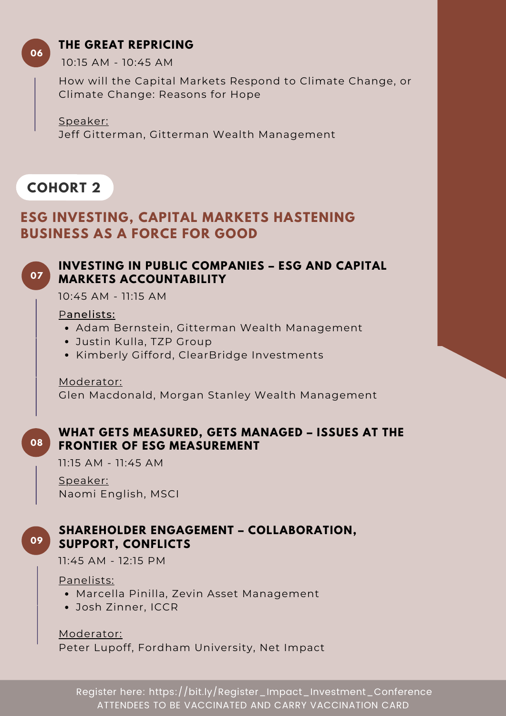### **THE GREAT REPRICING**

**06**

10:15 AM - 10:45 AM

How will the Capital Markets Respond to Climate Change, or Climate Change: Reasons for Hope

Speaker: Jeff Gitterman, Gitterman Wealth Management

# **COHORT 2**

# **ESG INVESTING, CAPITAL MARKETS HASTENING BUSINESS AS A FORCE FOR GOOD**

#### **INVESTING IN PUBLIC COMPANIES – ESG AND CAPITAL MARKETS ACCOUNTABILITY 07**

10:45 AM - 11:15 AM

### Panelists:

- Adam Bernstein, Gitterman Wealth Management
- Justin Kulla, TZP Group
- Kimberly Gifford, ClearBridge Investments

Moderator:

Glen Macdonald, Morgan Stanley Wealth Management

#### **WHAT GETS MEASURED, GETS MANAGED – ISSUES AT THE FRONTIER OF ESG MEASUREMENT 08**

11:15 AM - 11:45 AM

Speaker: Naomi English, MSCI

### **SHAREHOLDER ENGAGEMENT – COLLABORATION, SUPPORT, CONFLICTS**

11:45 AM - 12:15 PM

Panelists:

**09**

- Marcella Pinilla, Zevin Asset Management
- Josh Zinner, ICCR

Moderator: Peter Lupoff, Fordham University, Net Impact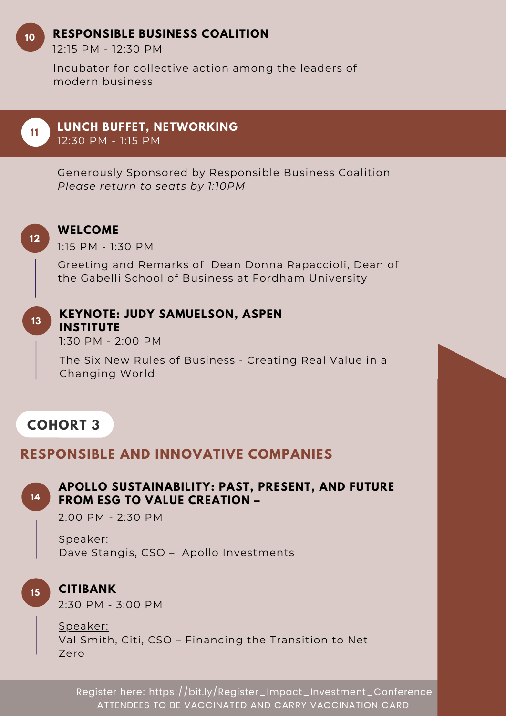### **RESPONSIBLE BUSINESS COALITION**

12:15 PM - 12:30 PM

Incubator for collective action among the leaders of modern business

**11**

**10**

**LUNCH BUFFET, NETWORKING**

12:30 PM - 1:15 PM

Generously Sponsored by Responsible Business Coalition *Please return to seats by 1:10PM*



### **WELCOME**

**INSTITUTE**

1:15 PM - 1:30 PM

Greeting and Remarks of Dean Donna Rapaccioli, Dean of the Gabelli School of Business at Fordham University

**13**

### **KEYNOTE: JUDY SAMUELSON, ASPEN**

1:30 PM - 2:00 PM

The Six New Rules of Business - Creating Real Value in a Changing World

# **COHORT 3**

### **RESPONSIBLE AND INNOVATIVE COMPANIES**



### **APOLLO SUSTAINABILITY: PAST, PRESENT, AND FUTURE FROM ESG TO VALUE CREATION –**

2:00 PM - 2:30 PM

Speaker: Dave Stangis, CSO – Apollo Investments



### **CITIBANK**

2:30 PM - 3:00 PM

Speaker: Val Smith, Citi, CSO – Financing the Transition to Net Zero

Register here: https://bit.ly/Register\_Impact\_Investment\_Conference ATTENDEES TO BE VACCINATED AND CARRY VACCINATION CARD